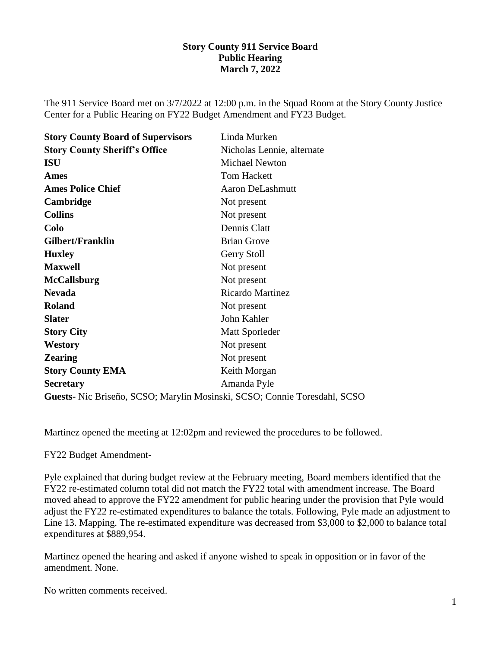### **Story County 911 Service Board Public Hearing March 7, 2022**

The 911 Service Board met on 3/7/2022 at 12:00 p.m. in the Squad Room at the Story County Justice Center for a Public Hearing on FY22 Budget Amendment and FY23 Budget.

| <b>Story County Board of Supervisors</b> | Linda Murken               |
|------------------------------------------|----------------------------|
| <b>Story County Sheriff's Office</b>     | Nicholas Lennie, alternate |
| <b>ISU</b>                               | <b>Michael Newton</b>      |
| <b>Ames</b>                              | <b>Tom Hackett</b>         |
| <b>Ames Police Chief</b>                 | <b>Aaron DeLashmutt</b>    |
| Cambridge                                | Not present                |
| <b>Collins</b>                           | Not present                |
| Colo                                     | Dennis Clatt               |
| <b>Gilbert/Franklin</b>                  | <b>Brian Grove</b>         |
| <b>Huxley</b>                            | Gerry Stoll                |
| <b>Maxwell</b>                           | Not present                |
| <b>McCallsburg</b>                       | Not present                |
| <b>Nevada</b>                            | <b>Ricardo Martinez</b>    |
| <b>Roland</b>                            | Not present                |
| <b>Slater</b>                            | John Kahler                |
| <b>Story City</b>                        | Matt Sporleder             |
| <b>Westory</b>                           | Not present                |
| <b>Zearing</b>                           | Not present                |
| <b>Story County EMA</b>                  | Keith Morgan               |
| <b>Secretary</b>                         | Amanda Pyle                |
|                                          |                            |

**Guests-** Nic Briseño, SCSO; Marylin Mosinski, SCSO; Connie Toresdahl, SCSO

Martinez opened the meeting at 12:02pm and reviewed the procedures to be followed.

#### FY22 Budget Amendment-

Pyle explained that during budget review at the February meeting, Board members identified that the FY22 re-estimated column total did not match the FY22 total with amendment increase. The Board moved ahead to approve the FY22 amendment for public hearing under the provision that Pyle would adjust the FY22 re-estimated expenditures to balance the totals. Following, Pyle made an adjustment to Line 13. Mapping. The re-estimated expenditure was decreased from \$3,000 to \$2,000 to balance total expenditures at \$889,954.

Martinez opened the hearing and asked if anyone wished to speak in opposition or in favor of the amendment. None.

No written comments received.